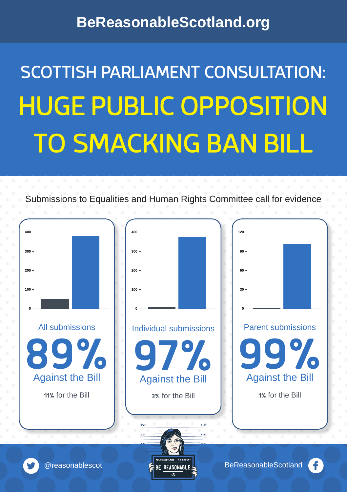## **BeReasonableScotland.org**

# SCOTTISH PARLIAMENT CONSULTATION: HUGE PUBLIC OPPOSITION TO SMACKING BAN BILL



Submissions to Equalities and Human Rights Committee call for evidence

**@reasonablescot** BeReasonableScotland